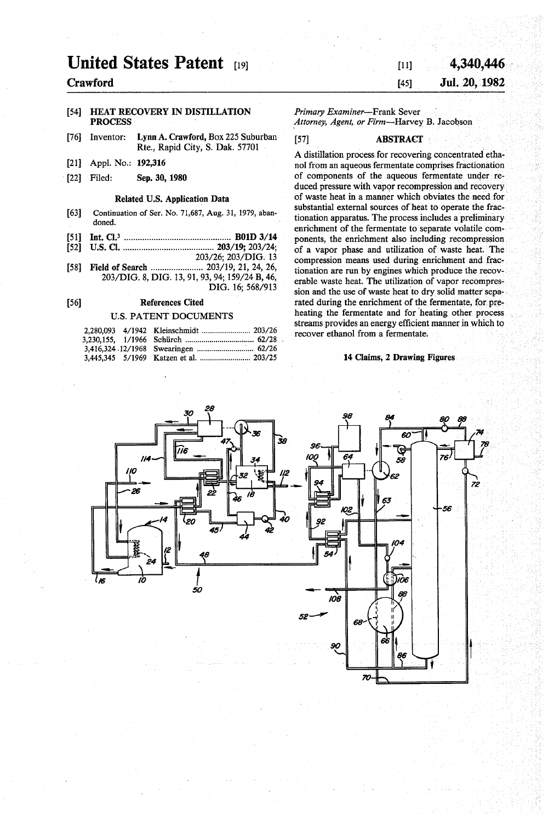# United States Patent [19]

## Crawford

# 54] HEAT RECOVERY IN DISTILLATION<br>PROCESS

- [76] Inventor: Lynn A. Crawford, Box 225 Suburban Rte., Rapid City, S. Dak. 57701
- 21 Appl. No.: 192,316
- [22] Filed: Sep. 30, 1980

#### Related U.S. Application Data

- 63 Continuation of Ser. No. 71,687, Aug. 31, 1979, aban doned.
- 51 Int. Cl. ............................................... B01D3/14
- (52) U.S. C. ........................................ 203/19; 203/24;
- 203/26; 203/DIG. 13
- 58) Field of Search ....................... 203/19, 21, 24, 26, 203/DIG. 8, DIG. 13,91, 93, 94; 159/24B, 46, DIG. 16; 568/913

#### (56) References Cited

### U.S. PATENT DOCUMENTS

# $[11]$  4,340,446

# 45) Jul. 20, 1982

Primary Examiner-Frank Sever Attorney, Agent, or Firm-Harvey B. Jacobson

#### [57] **ABSTRACT**

A distillation process for recovering concentrated etha nol from an aqueous fermentate comprises fractionation of components of the aqueous fermentate under re duced pressure with vapor recompression and recovery of waste heat in a manner which obviates the need for substantial external sources of heat to operate the frac tionation apparatus. The process includes a preliminary enrichment of the fermentate to separate volatile com ponents, the enrichment also including recompression of a vapor phase and utilization of waste heat. The compression means used during enrichment and frac tionation are run by engines which produce the recoverable waste heat. The utilization of vapor recompression and the use of waste heat to dry solid matter separated during the enrichment of the fermentate, for pre-<br>heating the fermentate and for heating other process streams provides an energy efficient manner in which to recover ethanol from a fermentate.

#### 14 Claims, 2 Drawing Figures

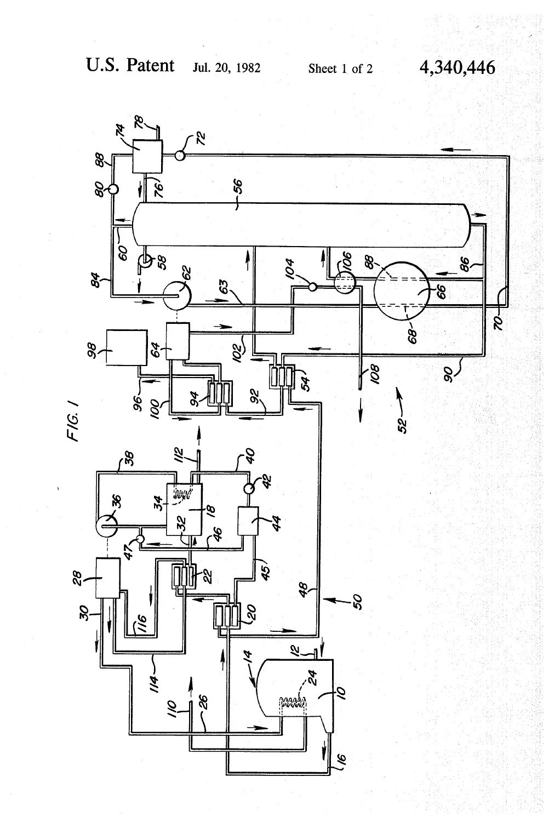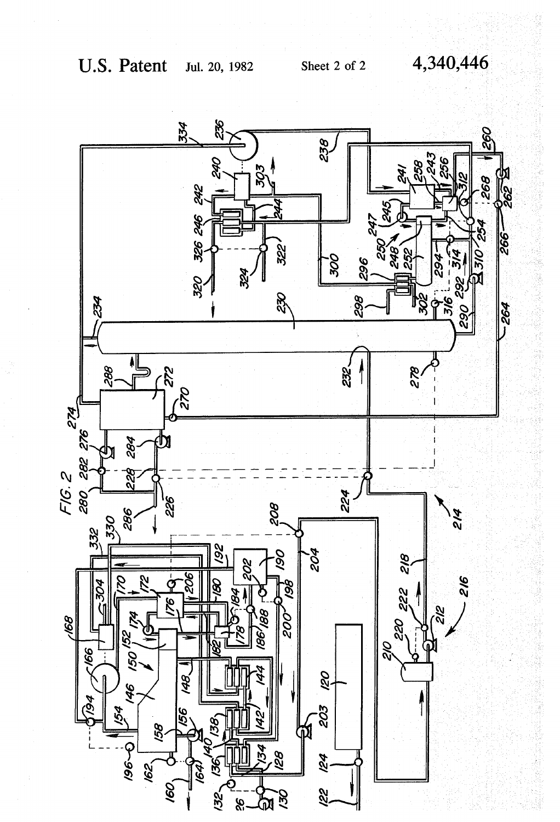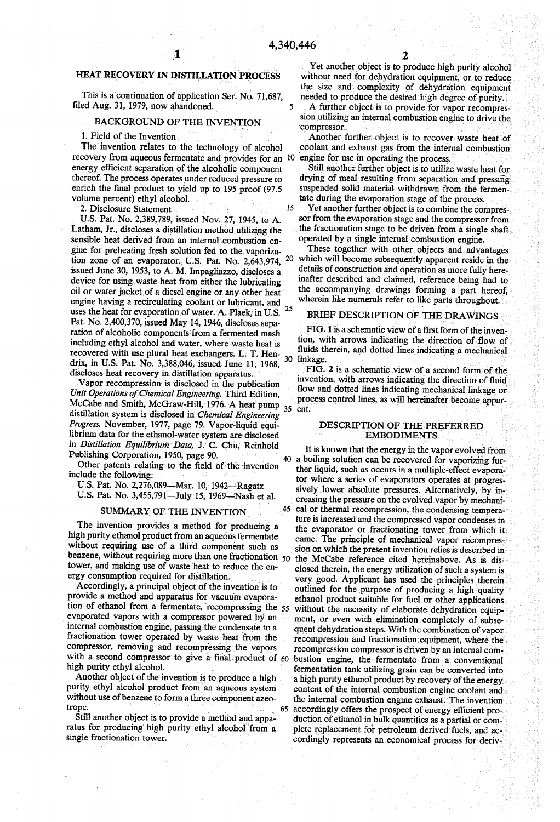15

35

### HEAT RECOVERY IN DISTILLATION PROCESS

This is a continuation of application Ser. No. 71.687, filed Aug. 31, 1979, now abandoned.

### BACKGROUND OF THE INVENTION

1. Field of the Invention

The invention relates to the technology of alcohol recovery from aqueous fermentate and provides for an <sup>10</sup> energy efficient separation of the alcoholic component thereof. The process operates under reduced pressure to enrich the final product to yield up to 195 proof (97.5 volume percent) ethyl alcohol.

2. Disclosure Statement<br>U.S. Pat. No. 2,389,789, issued Nov. 27, 1945, to A. Latham, Jr., discloses a distillation method utilizing the sensible heat derived from an internal combustion engine for preheating fresh solution fed to the vaporizagine for prefleating fresh solution fed to the vaporization zone of an evaporator. U.S. Pat. No. 2,643,974, issued June 30, 1953, to A. M. Impagliazzo, discloses a device for using waste heat from either the lubricating oil or water jacket of a diesel engine or any other heat engine having a recirculating coolant or lubricant, and uses the heat for evaporation of water. A. Plaek, in U.S.<br>Pat. No. 2,400,370, issued May 14, 1946, discloses separation of alcoholic components from a fermented mash including ethyl alcohol and water, where waste heat is recovered with use plural heat exchangers. L. T. Hendrix, in U.S. Pat. No. 3,388,046, issued June 11, 1968, discloses heat recovery in distillation apparatus.<br>Vapor recompression is disclosed in the publication 25

Unit Operations of Chemical Engineering, Third Edition, McCabe and Smith, McGraw-Hill, 1976. A heat pump distillation system is disclosed in Chemical Engineering Progress, November, 1977, page 79. Vapor-liquid equilibrium data for the ethanol-water system are disclosed in Distillation Equilibrium. Data, J. C. Chu, Reinhold Publishing Corporation, 1950, page 90.

Other patents relating to the field of the invention include the following:<br>U.S. Pat. No. 2,276,089—Mar. 10,  $1942$ —Ragatz

U.S. Pat. No. 3,455,791-July 15, 1969-Nash et al.

#### SUMMARY OF THE INVENTION

The invention provides a method for producing a high purity ethanol product from an aqueous fermentate without requiring use of a third component such as benzene, without requiring more than one fractionation  $50$ tower, and making use of waste heat to reduce the en ergy consumption required for distillation.

Accordingly, a principal object of the invention is to provide a method and apparatus for vacuum evaporation of ethanol from a fermentate, recompressing the 55 evaporated vapors with a compressor powered by an internal combustion engine, passing the condensate to a fractionation tower operated by waste heat from the compressor, removing and recompressing the vapors

purity ethyl alcohol product from an aqueous system without use of benzene to form a three component azeo-<br>trope.

Still another object is to provide a method and apparatus for producing high purity ethyl alcohol from a single fractionation tower.

Yet another object is to produce high purity alcohol without need for dehydration equipment, or to reduce the size and complexity of dehydration equipment needed to produce the desired high degree of purity.

A further object is to provide for vapor recompres sion utilizing an internal combustion engine to drive the compressor.

Another further object is to recover waste heat of coolant and exhaust gas from the internal combustion

engine for use in operating the process.<br>Still another further object is to utilize waste heat for drying of meal resulting from separation and pressing suspended solid material withdrawn from the fermen tate during the evaporation stage of the process.

Yet another further object is to combine the compres sor from the evaporation stage and the compressor from

 $\ddot{\phantom{0}}$ operated by a single internal combustion engine.<br>These together with other objects and advantages which will become subsequently apparent reside in the details of construction and operation as more fully here-<br>inafter described and claimed, reference being had to the accompanying drawings forming a part hereof, wherein like numerals refer to like parts throughout.

#### BRIEF DESCRIPTION OF THE DRAWINGS

30 linkage. FIG. 1 is a schematic view of a first form of the inven tion, with arrows indicating the direction of flow of fluids therein, and dotted lines indicating a mechanical

FIG. 2 is a schematic view of a second form of the invention, with arrows indicating the direction of fluid flow and dotted lines indicating mechanical linkage or process control lines, as will hereinafter become appar ent,

#### DESCRIPTION OF THE PREFERRED EMBODIMENTS

45 cal or thermal recompression, the condensing tempera with a second compressor to give a final product of 60 bustion engine, the fermentate from a conventional<br>high purity ethyl alcohol.<br>Another object of the invention is to produce a high a high purity ethanol product by rec 65 accordingly offers the prospect of energy efficient pro-It is known that the energy in the vapor evolved from a boiling solution can be recovered for vaporizing fur ther liquid, such as occurs in a multiple-effect evaporator where a series of evaporators operates at progressively lower absolute pressures. Alternatively, by increasing the pressure on the evolved vapor by mechani ture is increased and the compressed vapor condenses in the evaporator or fractionating tower from which it came. The principle of mechanical vapor recompression on which the present invention relies is described in the McCabe reference cited hereinabove. As is dis closed therein, the energy utilization of such a system is very good. Applicant has used the principles therein outlined for the purpose of producing a high quality ethanol product suitable for fuel or other applications without the necessity of elaborate dehydration equipment, or even with elimination completely of subsequent dehydration steps. With the combination of vapor recompression and fractionation equipment, where the recompression compressor is driven by an internal comfermentation tank utilizing grain can be converted into a high purity ethanol product by recovery of the energy content of the internal combustion engine coolant and the internal combustion engine exhaust. The invention duction of ethanol in bulk quantities as a partial or complete replacement for petroleum derived fuels, and accordingly represents an economical process for deriv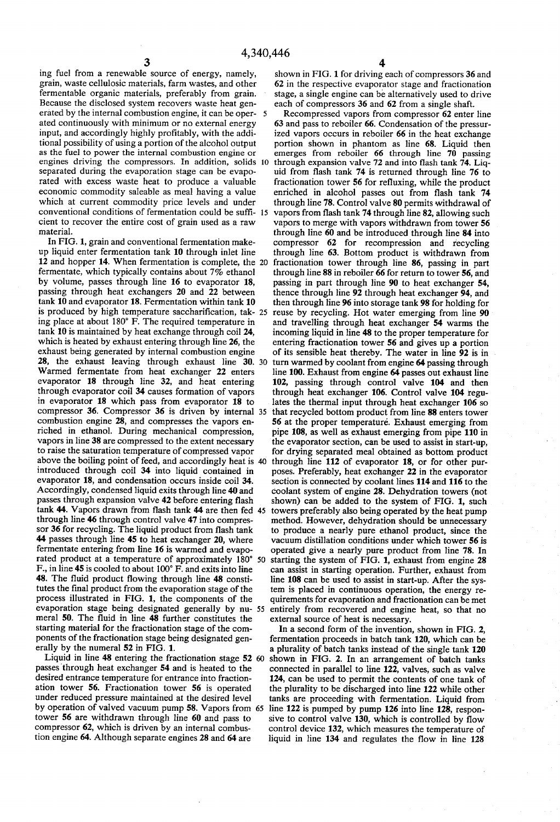ing fuel from a renewable source of energy, namely, grain, waste cellulosic materials, farm wastes, and other fermentable organic materials, preferably from grain. Because the disclosed system recovers waste heat generated by the internal combustion engine, it can be oper- 5 ated continuously with minimum or no external energy input, and accordingly highly profitably, with the additional possibility of using a portion of the alcohol output as the fuel to power the internal combustion engine or engines driving the compressors. In addition, solids 10 separated during the evaporation stage can be evaporated with excess waste heat to produce a valuable economic commodity saleable as meal having a value which at current commodity price levels and under conventional conditions of fermentation could be suffi- 15 cient to recover the entire cost of grain used as a raw material.

In FIG. 1, grain and conventional fermentation makeup liquid enter fermentation tank 10 through inlet line 12 and hopper 14. When fermentation is complete, the 20 fermentate, which typically contains about  $7\%$  ethanol by volume, passes through line 16 to evaporator 18, passing through heat exchangers 20 and 22 between tank 10 and evaporator 18. Fermentation within tank 10 is produced by high temperature saccharification, tak- 25 ing place at about 180° F. The required temperature in tank 10 is maintained by heat exchange through coil 24, which is heated by exhaust entering through line 26, the exhaust being generated by internal combustion engine 28, the exhaust leaving through exhaust line 30. 30 Warmed fermentate from heat exchanger 22 enters evaporator 18 through line 32, and heat entering through evaporator coil 34 causes formation of vapors in evaporator 18 which pass from evaporator 18 to compressor 36. Compressor 36 is driven by internal 35 combustion engine 28, and compresses the vapors enriched in ethanol. During mechanical compression, vapors in line 38 are compressed to the extent necessary to raise the saturation temperature of compressed vapor above the boiling point of feed, and accordingly heat is 40 introduced through coil 34 into liquid contained in evaporator 18, and condensation occurs inside coil 34. Accordingly, condensed liquid exits through line 40 and passes through expansion valve 42 before entering flash tank 44. Vapors drawn from flash tank 44 are then fed 45 through line 46 through control valve 47 into compressor 36 for recycling. The liquid product from flash tank 44 passes through line 45 to heat exchanger 20, where fermentate entering from line 16 is warmed and evaporated product at a temperature of approximately 180° 50 F., in line 45 is cooled to about 100° F. and exits into line 48. The fluid product flowing through line 48 constitutes the final product from the evaporation stage of the process illustrated in FIG. 1, the components of the evaporation stage being designated generally by nu- 55 meral 50. The fluid in line 48 further constitutes the starting material for the fractionation stage of the components of the fractionation stage being designated generally by the numeral 52 in FIG. 1.

Liquid in line 48 entering the fractionation stage 52 60 passes through heat exchanger 54 and is heated to the desired entrance temperature for entrance into fractionation tower 56. Fractionation tower 56 is operated under reduced pressure maintained at the desired level by operation of valved vacuum pump 58. Vapors from 65 tower 56 are withdrawn through line 60 and pass to compressor 62, which is driven by an internal combustion engine 64. Although separate engines 28 and 64 are

shown in FIG. 1 for driving each of compressors 36 and 62 in the respective evaporator stage and fractionation stage, a single engine can be alternatively used to drive each of compressors 36 and 62 from a single shaft.

Recompressed vapors from compressor 62 enter line 63 and pass to reboiler 66. Condensation of the pressurized vapors occurs in reboiler 66 in the heat exchange portion shown in phantom as line 68. Liquid then emerges from reboiler 66 through line 70 passing through expansion valve 72 and into flash tank 74. Liquid from flash tank 74 is returned through line 76 to fractionation tower 56 for refluxing, while the product enriched in alcohol passes out from flash tank 74 through line 78. Control valve 80 permits withdrawal of vapors from flash tank 74 through line 82, allowing such vapors to merge with vapors withdrawn from tower 56 through line 60 and be introduced through line 84 into compressor 62 for recompression and recycling through line 63. Bottom product is withdrawn from fractionation tower through line 86, passing in part through line 88 in reboiler 66 for return to tower 56, and passing in part through line 90 to heat exchanger 54, thence through line 92 through heat exchanger 94, and then through line 96 into storage tank 98 for holding for reuse by recycling. Hot water emerging from line 90 and travelling through heat exchanger 54 warms the incoming liquid in line 48 to the proper temperature for entering fractionation tower 56 and gives up a portion of its sensible heat thereby. The water in line 92 is in turn warmed by coolant from engine 64 passing through line 100. Exhaust from engine 64 passes out exhaust line 102, passing through control valve 104 and then through heat exchanger 106. Control valve 104 regulates the thermal input through heat exchanger 106 so that recycled bottom product from line 88 enters tower 56 at the proper temperature. Exhaust emerging from pipe 108, as well as exhaust emerging from pipe 110 in the evaporator section, can be used to assist in start-up. for drying separated meal obtained as bottom product through line 112 of evaporator 18, or for other purposes. Preferably, heat exchanger 22 in the evaporator section is connected by coolant lines 114 and 116 to the coolant system of engine 28. Dehydration towers (not shown) can be added to the system of FIG. 1, such towers preferably also being operated by the heat pump method. However, dehydration should be unnecessary to produce a nearly pure ethanol product, since the vacuum distillation conditions under which tower 56 is operated give a nearly pure product from line 78. In starting the system of FIG. 1, exhaust from engine 28 can assist in starting operation. Further, exhaust from line 108 can be used to assist in start-up. After the system is placed in continuous operation, the energy requirements for evaporation and fractionation can be met entirely from recovered and engine heat, so that no external source of heat is necessary.

In a second form of the invention, shown in FIG. 2, fermentation proceeds in batch tank 120, which can be a plurality of batch tanks instead of the single tank 120 shown in FIG. 2. In an arrangement of batch tanks connected in parallel to line 122, valves, such as valve 124, can be used to permit the contents of one tank of the plurality to be discharged into line 122 while other tanks are proceeding with fermentation. Liquid from line 122 is pumped by pump 126 into line 128, responsive to control valve 130, which is controlled by flow control device 132, which measures the temperature of liquid in line 134 and regulates the flow in line 128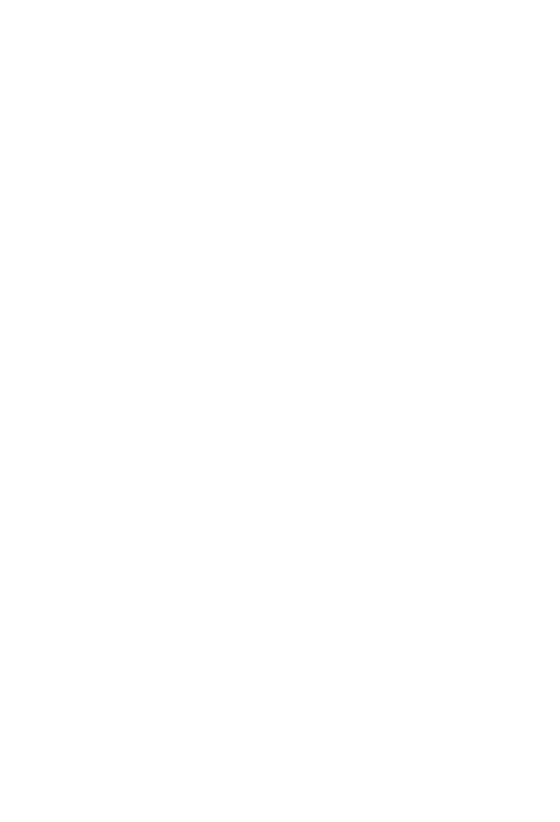5

accordingly. Entering liquid is warmed in heat exchanger 136, and enters heat exchanger 138 through line 140. Liquid then passes through line 142 through heat exchanger 144, and then into the shell side 146 of the evaporator 150. Liquid entering from line 148, hav- $\sqrt{5}$ ing a content of ethanol of about 7% by weight, as is typically produced by fermentation in tank 120, is warmed by transfer of heat from tube side 152 of heat exchanger 150. At a temperature of approximately 180° F., liquid entering shell side 146 of evaporator 150 is in 10 part vaporized, leaving through line 154, and a suspension of residual solid material is withdrawn by pump 156 through line 158 and discharged through line 160 for production of meal. Level control device 162 regulates the rate of withdrawal of suspension through line 15 from buffer tank 241. Vapor separated from trap 256 160 by means of control valve 164. Vapors withdrawn through line 154, which are typically somewhat enriched in ethanol to the extent of about 10% by weight, pass to compressor 166 for recompression. Internal combustion engine 168 drives compressor 166, which 20 discharges compressed vapors into line 170 for temporary storage in buffer tank 172. Vapors pass through blower 174 into the tube side 152 of evaporator 150 for condensation through heat transfer to shell side 146 of evaporator 150. Liquid emerges from tube side 152 25 tains the pressure in flash tank 272 and tower 230 at the through line 176, passing to trap 178, which also receives condensate from buffer tank 172 by way of line 180. Return of vapors through line 182 to buffer tank 172 permits any uncondensed vapors in trap 178 to be recycled through blower 174. Level control device 184 30 flash tank 272 through pump 284 into line 228, emerging regulates the flow out of trap 178 through line 186 by means of control valve 188. Liquid passing through control valve 188 enters flash tank 190, which lowers the pressure on liquid entering by means of an expansion valve (not shown). Vaporization of a portion of the 35 incoming material occurs, the vapors passing through line 192 back to compressor 166. Control of the flow of vapors through line 192 is effected by control valve 194, responsive to the pressure measured by pressure control device 196 attached to the shell side 146 of heat ex- 40 changer 150. Liquid from flash tank 190 passes through line 198, the flow of which is regulated by control valve 200, responsive to the level of liquid in flash tank 190, as measured by level control device 202. Liquid flowing through control valve 200 enters heat exchanger 136 at 45 a temperature of about 180° F. and emerges through line 134 at a temperature of about 100° F., having warmed liquid entering heat exchanger 136 from line 128 at about 90° F., to a temperature of about 150° F. in line 140. Liquid from line 134 is pumped by pump 203 50 liquid level in tower 230. Liquid from line 310, which is through line 204, responsive to the pressure measured at buffer tank 172 by pressure control device 206 and connected to control valve 208. Liquid at about 100° F. is then stored in buffer tank 210 for conveying by pump 55 212 to the fractionation stage.

The fractionation stage of the form of the invention shown in FIG. 2 is designated generally by the numeral 214, while the evaporation stage is designated generally by the numeral 216. Liquid pumped through line 218 by pump 212 is controlled by level control device 220 60 attached to buffer tank 210, the level control device 220 controlling the flow through control valve 222. Flow through line 218 is measured by flow control 224, in order to regulate the output through control valve 226 in discharge of product from line 228. Incoming liquid 65 cess parameters herein described except to the extent enters fractionation tower 230 at inlet 232, and the volatile components of water and ethanol undergo separation under reduced pressure of about 95 mm Hg. Va-

pors withdrawn from the top of tower 230 through line 234 pass to compressor 236 for recompression and discharge into line 238. Compressor 236 is driven by internal combustion engine 240, which circulates coolant through coolant lines 242 and 244 through heat exchanger 246. Recompressed vapors in line 238 pass into buffer tank 241 for separation of condensate through line 243 from vapors, which pass through line 245 through blower 247 and into the tube side 248 of heat exchanger 250. Heat is transferred from tube side 248 of heat exchanger 250 to shell side 252 of heat exchanger 250. Condensed liquid product from tube side 248 of heat exchanger 250 passes through line 254 into trap 256, which also receives condensate through line 243 passes through line 258 into buffer tank 241 for recycling. Liquid product from trap 256 passes through line 260 and is pumped by pump 262 into line 264, subject to control by control valve 266, responsive to level control device 268, which measures the liquid level in trap 256. Liquid from line 264 passes through expansion valve 270 into flash tank 272 where vapors and liquid are formed, the vapors passing through line 274 for recycling to compressor 236. Vacuum pump 276 maindesired level, responsive to temperature control device 278, discharging product through line 280 responsive to control valve 282 connected to temperature control device 278. Further, liquid product is discharged from at discharge port 286. A portion of liquid from flash tank 272 can be returned to tower 230 through trapped line 288. The bottom product from tower 230 passes through line 290 under pumping from pump 292, a portion thereof passing through line 294 for recycling through the shell side 252 of reboiler 250. After being warmed in heat exchanger 296, the liquid then returns through line 298 to tower 230. Heating of liquid at heat exchanger 296 occurs by heat transfer from exhaust gas from engine 240 in exhaust line 300. Exhaust gas emerging through orifices 302 and 303 can be used for drying meal produced at line 160, along with exhaust gas from line 304 of engine 168. A portion of liquid pumped by pump 292 from line 290 containing bottom product from tower 230 passes through line 294 as described above, and another portion passes through line 310. The relative flows through lines 310 and 294 is determined by control valves 312 and 314, the operation of which is regulated by level control device 316 responsive to substantially pure water with a minimum amount of ethanol contained therein, passes into heat exchanger 246 for warming to about a temperature of  $180^\circ$  F., this heated water passing through line 320 for the purpose of starting high temperature saccharification in an early stage of the process. Other bottom product of substantially pure water passes through line 322 at a tempera-<br>ture of about 125° F., and is used to start fermentation by mixing with make-up water at about 55° F., to yield a good fermentation temperature range of about 90° F. to 100° F. Flow through line 322 is regulated by control valve 324, responsive to temperature control device 326 in line 320.

While the invention is not limited to particular prodefined in the claims, typical temperatures are given herein by way of example for the particular arrangement shown in FIG. 2. Fermentation in batch tank 120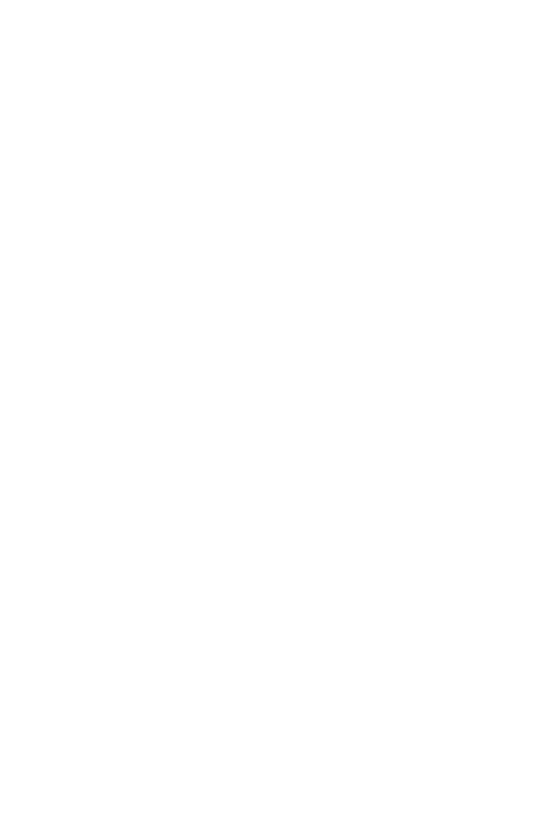7

preferably proceeds at about 90° F. to 100° F., yielding a product of about 7% by weight of ethanol, as well as suspended solids, which enter evaporator 150 through line 148. In the shell side 146 of evaporator 150, these materials are evaporated at a temperature of about 180°  $\overline{\mathbf{5}}$ F., yielding a vapor through line 154 enriched to about 10% ethanol and free of solids. A suspension of solid matter is drawn from shell side 146 of evaporator 150 through line 158 and discharged through line 160 for production of meal by evaporation as disclosed herein-10 above. Trap 178, while performing the function of recycling of vapors as disclosed above, further serves to remove carbon dioxide gas generated during the fermentation process. Liquid at about 195° F. passes through line 186 to flash tank 190, where the pressure is 15 lowered in the manner described above. Liquid is removed at line 198 at a temperature of about 180° F., entering heat exchanger 136 and being cooled to about 100° F. in line 134, while warming incoming liquid in line 128 at about 90° F. to a temperature of about 150° 20 F. in line 140. Liquid from line 140 is then warmed in successive heat exchangers 138 and 144, serially connected to the coolant lines 330 and 332 of engine 168. In heat exchanger 138, liquid from line 140 at a temperature of about 150° F., is warmed to about 175° F. in line 25 142, and then to about 180° F., in line 148. Liquid emerging from heat exchanger 136 and line 134 at 100° F. is stored in buffer tank 210 at about 100° F., which can be arranged in a manner not shown to blow vapors from the tube side 152 of evaporator 150 through the 30 entire system if necessary. However, such a feature is optional and not necessary for successful operation of the system. Liquid enters tower 230 at orifice 232 at about 100° F. Compressor 236 preferably recompresses vapors from line 334 at a pressure of about  $\frac{1}{8}$  atmosphere 35 to a pressure of about  $\frac{3}{8}$  atmosphere in line 238, and most preferably at a compression ratio of about 3.5. The temperature of bottom product removed from tower 230 at line 290 is about  $125^{\circ}$  F. while the temperature of vapors removed at line 234 is about 100° F., when tower 40 230 is operated at a pressure of about 95 mm Hg.

#### **EXAMPLE**

The arrangement of FIG. 2 is operated to produce a final output of substantially pure ethanol at a rate of one 45 gallon per minute (6.6 lb/min). It is assumed that fermentate from batch tank 120 is introduced as needed to produce such a final flow rate, and that the ethanol content of the liquid introduced is about 7 weight percent. It is further assumed that the mechanical effi- 50 ciency of engines 168 and 240 is 30%, and that vapors evolved in evaporator 150 contain 10 weight percent ethanol. Vapors are compressed by a pressure ratio between line 154 and line 170 of about 1.4, and vapors are compressed in the fractionation stage between line 55 334 and line 238 by compressor 236 with a pressure ratio of about 3.5. The temperature of vapors in line 154 is about 180° F., and the temperature in line 334 is about 100° F.

By making use of well-known relationships for calcu-60 lating the energy required to compress a given volume of gas, supplying constants to the appropriate equations where necessary, it is readily apparent to one skilled in the art that under the assumed conditions, 66 lb. of 10 weight percent ethanol is vaporized per minute in shell 65 side 146 of evaporator 150, comprising 59.4 lb. water and 6.6 lb. ethanol. The water amounts to 3.3 lb.-moles and the ethanol constitutes 0.14 lb.-moles, totalling 3.44

moles/min. By multiplying the appropriate constant by the volume occupied by one mole of gas at 180° F., and further multiplying the natural logarithm of the pressure ratio of 1.4, the mechanical power required is 35 horsepower rounded to the nearest unit. This represents the mechanical energy required to operate compressor 166 in evaporation stage 216 and relating this power requirement to the fuel requirement for engine 168, after dividing by the assumed engine mechanical efficiency of 30%, gives a value of 4950 BTU to operate engine 168 per minute, of which 70% represents waste heat.

For the distillation stage, only a portion of the throughput of line 334 is represented by flow of top product from tower 230 through line 234. Assuming a reflux ratio of 8 to 1 and the pressure ratio over compressor 236 of 3.5, a similar calculation gives a total flow through compressor 236 of 1.29 lb-moles/min. This requires a power input of 43 horsepower to carry out the mechanical recompression from line 334 to line 238. Again, assuming 30% mechanical efficiency for engine 240, the energy requirement for the fractionation stage is 6080 BTU/gal, of which 70% or about 4755 BTU/gal. is available for utilization in heat exchanger 246, heat exchanger 296, for drying of meal, or other purposes. Similarly, since 70% of the energy needed to operate engine 168 in the evaporation stage 216 is evolved in the form of waste heat through coolant lines 330 and 332 and exhaust line 304, this heat is available for various purposes, such as preheating feed in heat exchangers 138 and 144 and drying meal. Inasmuch as the waste heat from engine 168 is approximately double the preheating energy requirements for incoming fluid from line 140, sufficient excess energy is available from the evaporator stage engine 168 to operate evaporator 150. Further, the waste heat from engine 240 in the fractionation stage is sufficient to heat the bottom product of tower 230 to the desired temperature to start successive batches. Exhaust from engine 240 can be used to dry meal, which is removed from the bottom of evaporator 150, pressed and dried.

Accordingly, the over-all energy balance is 11,030 BTU/gal of ethanol product per minute, representing the sum of the evaporator stage and fractionation stage values of 4255 BTU/gal and 6775 BTU/gal, respectively. Minimal pumping and vacuum pump power requirements, estimated at 4 horse power are excluded from this calculation. Further, certain compressor inefficiencies and other inefficiencies require certain additional increments of waste heat, suggesting a total thermal balance of 14,000 to 16,000 BTU/gal of ethanol produced each minute. Inasmuch as a gallon of the ethanol of the quality produced by the invention generates approximately 85,000 BTU, it is possible to run engines 240 and 168, if adapted for operation on ethanol, by burning approximately 1/6 of the ethanol product output. Further, the cost of dried meal produced at current price levels can cover the cost of grain required in fermentation tank 120.

The distillation equipment of the Chu reference clearly shows that at 95 mm Hg, no azeotrope exists prior to 98.25 mole percent ethanol. For reference purposes, 92 mole percent ethanol is nearly equivalent to 97.5 volume percent ethanol. It is evident from the McCabe et al reference that mechanical recompression can yield the equivalent of about 10 to 15 effects.

Inasmuch as conventional processes for separation of ethanol by distillation require in excess of 100,000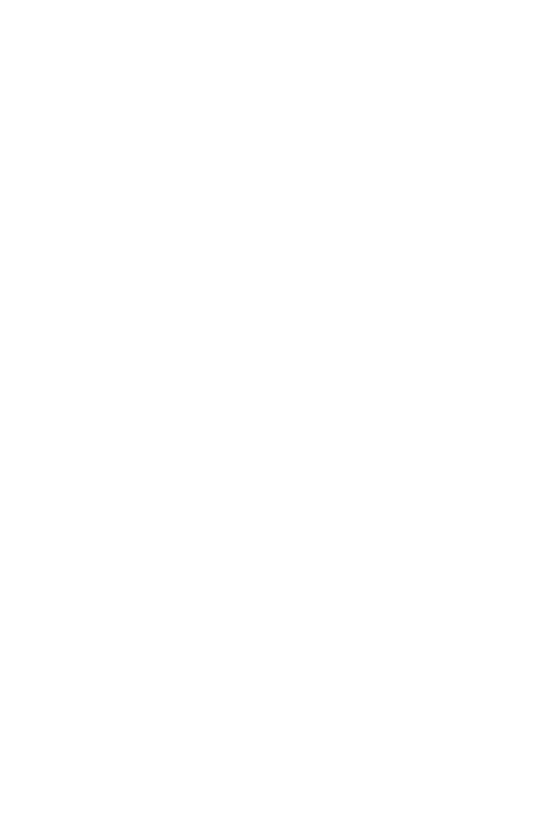BTU/gal of ethanol produced, the Example demonstrates that the present process represents a substantial energy savings, resulting from the use of an internal combustion engine to both drive a compressor for recompression and to generate waste heat used to operate 5 the components of the system.

Throughout the specification and claims, unless otherwise specified, parts and proportions are expressed in weight percent, and temperatures are expressed in degrees Fahrenheit.

The foregoing is considered as illustrative only of the principles of the invention. Further, since numerous modifications and changes will readily occur to those skilled in the art, it is not desired to limit the invention to the exact construction and operation shown and 15 described, and accordingly, all suitable modifications and equivalents may be resorted to, falling within the scope of the invention.

What is claimed as new is as follows:

1. A process for the separation and recovery of etha- 20 fractionation. nol from an aqueous fermentate consisting essentially of about 7% by weight ethanol, a minor portion of suspended solid matter, with the balance of the fermentate being water, the process comprising the following steps:

- (a) pumping the fermentate to an evaporator within 25 which separation and discharge of said solid matter from evaporator vapors of ethanol and water occurs;
- (b) recompressing said evaporator vapors by a first compressor and condensing the compressed va- 30 pors:
- (c) passing the condensate formed from the compressed vapors to a fractionation stage and fractionating said condensate under reduced pressure fractionation into vapors rich in ethanol and liquid 35 bottom product rich in water;
- (d) withdrawing the vapors and withdrawing the bottom product;
- (e) recompressing said vapors rich in ethanol in a second compressor and condensing the vapors to 40 form a liquid product rich in ethanol;
- (f) withdrawing said liquid product containing at least about 97 volume percent ethanol;
- (g) driving each of said first and second compressors by an engine, said engine producing recoverable 45 waste heat; and
- (h) using at least a portion of said recoverable waste heat for heating said fermentate, said bottom product, or said discharged solid matter.

2. The process of claim 1 wherein said evaporator 50 includes a tube side and a shell side, said fermentate being pumped from a batch tank to the shell side of said evaporator and condensing the compressed vapors formed in said first compressor by countercurrent flow through the tube side of said evaporator. 55

3. The process of claim 2 wherein said first and second compressors are driven by an internal combustion engine.

4. The process of claim 3 wherein said first compressor is driven by a first internal combustion engine and 60 second compressor is driven by a second internal combustion engine.

5. The process of claim 4 wherein said first engine produces waste heat, utilizing said waste heat for preheating said fermentate from said batch tank and drying 65 said separated and discharged solid matter to form meal.

6. The process of claim 5 wherein said second engine produces waste heat, utilizing said waste heat for heating a portion of said bottom product rich in water for use in starting high temperature saccarification, further utilizing said waste heat for further heating said bottom product heated in the shell side of said reboiler, further fractionating said reheated bottom product.

7. The process of claim 6 wherein said condensate is passed in heat exchange relationship with said fermentate as said fermentate is being pumped from said batch tank to said evaporator for preheating said fermentate, 10 thereafter passing said condensate to said fractionation.

8. The process of claim 1 wherein condensing said vapors rich in ethanol to form a liquid product rich in ethanol includes the step of passing said recompressed vapors rich in ethanol into the tube side of a reboiler having a tube side and a shell side, whereby said vapors condense within said tube side, the process further comprising passing a portion of said bottom product rich in water through the shell side of said reboiler whereby said liquid bottom product is reheated and recycled for

9. The process of claim 8 wherein fractionating said condensate further comprises recycling a portion of the condensed vapors rich in ethanol condensed in the tube side of said reboiler for further fractionation.

10. The process of claim 9 wherein said recycled portion of the condensed vapors is passed through an expansion valve and into a flash tank, whereby partial evaporation in said flash tank produces reflux vapors and reflux liquid, a portion of said reflux liquid being passed for further fractionation, said refluxed vapors being passed to said second compressor for recompressing, a portion of said reflux liquid formed in said flash tank being withdrawn from said flash tank as said liquid product, said process further including pumping with a vacuum pump the contents of said flash tank.

11. The process of claim 10 wherein said vacuum pump maintains said flash tank and reduced pressure fractionation at a pressure of about 95 mm Hg.

12. The process of claim 1 wherein said first compressor is driven by a first internal combustion engine and said second compressor is driven by a second internal combustion engine, wherein the pressure ratio over said first compressor is about 1.4 and the pressure ratio over said second compressor is about 3.5, said evaporator vapors being evolved from said evaporator and recompressed by said first compressor a temperature of about 180° F., said separated vapors rich in ethanol being recompressed by said second compressor a temperature of about 100° F., said fractionating further comprising the step of refluxing a portion of said liquid product, the refluxed portion being passed for recycling for further fractionation, the ratio of the volume of said refluxed portion to said withdrawn liquid product is about 8, said liquid product being separated into a recovered portion and a fuel portion, the fuel portion being used to operate the internal combustion engines, the ratio of recovered portion to fuel portion being about 5.

13. A process for the separation and recovery of ethanol from an aqueous fermentate comprising a liquid mixture consisting essentially of ethanol in water and a minor portion of suspended solid matter, the process comprising; separating and discharging said solid matter from said mixture in an evaporator, producing evaporator vapors during separation of said solid matter, recompressing said evaporator vapors by means of a compressor and condensing the compressed vapors, fractionating said liquid mixture under reduced pressure fractionation into vapors rich in ethanol and liquid bot